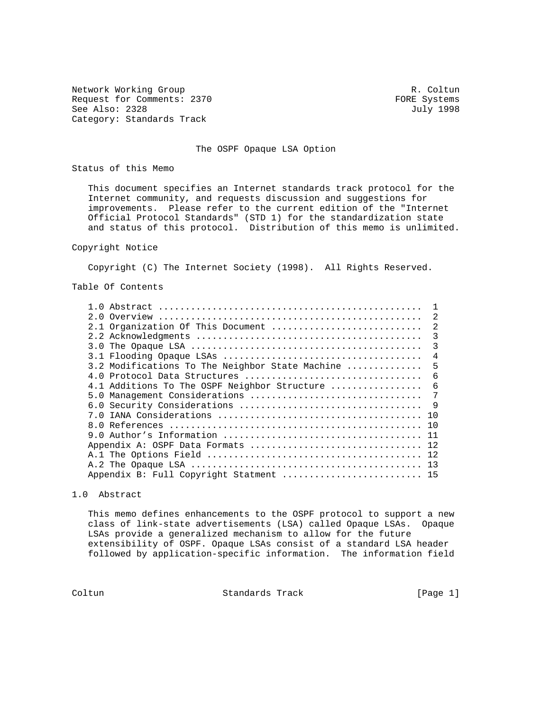Network Working Group and the coltunate of the R. Coltunate R. Coltunate R. Coltunate R. Coltunate R. Coltunate R. Coltunate R. Coltunate R. Coltunate R. Coltunate R. Coltunate R. Coltunate R. Coltunate R. Coltunate R. Col Request for Comments: 2370 FORE Systems<br>
See Also: 2328 July 1998 See Also: 2328 Category: Standards Track

# The OSPF Opaque LSA Option

Status of this Memo

 This document specifies an Internet standards track protocol for the Internet community, and requests discussion and suggestions for improvements. Please refer to the current edition of the "Internet Official Protocol Standards" (STD 1) for the standardization state and status of this protocol. Distribution of this memo is unlimited.

# Copyright Notice

Copyright (C) The Internet Society (1998). All Rights Reserved.

Table Of Contents

|                                                 | $\mathfrak{D}$ |
|-------------------------------------------------|----------------|
| 2.1 Organization Of This Document               | $\mathfrak{D}$ |
|                                                 | 3              |
|                                                 | 3              |
|                                                 | 4              |
| 3.2 Modifications To The Neighbor State Machine | 5              |
| 4.0 Protocol Data Structures                    | 6              |
| 4.1 Additions To The OSPF Neighbor Structure    | 6              |
| 5.0 Management Considerations                   | 7              |
|                                                 | 9              |
| 1 O                                             |                |
| 1 O                                             |                |
|                                                 |                |
| Appendix A: OSPF Data Formats  12               |                |
|                                                 |                |
|                                                 |                |
| Appendix B: Full Copyright Statment  15         |                |

## 1.0 Abstract

 This memo defines enhancements to the OSPF protocol to support a new class of link-state advertisements (LSA) called Opaque LSAs. Opaque LSAs provide a generalized mechanism to allow for the future extensibility of OSPF. Opaque LSAs consist of a standard LSA header followed by application-specific information. The information field

Coltun Standards Track [Page 1]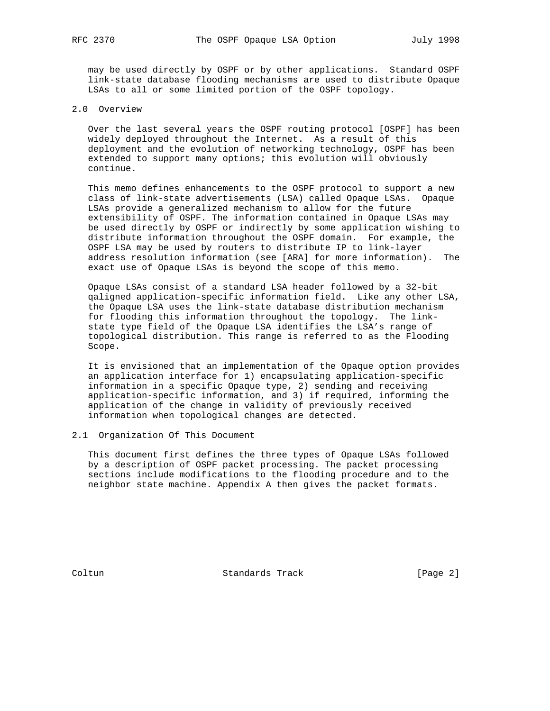may be used directly by OSPF or by other applications. Standard OSPF link-state database flooding mechanisms are used to distribute Opaque LSAs to all or some limited portion of the OSPF topology.

## 2.0 Overview

 Over the last several years the OSPF routing protocol [OSPF] has been widely deployed throughout the Internet. As a result of this deployment and the evolution of networking technology, OSPF has been extended to support many options; this evolution will obviously continue.

 This memo defines enhancements to the OSPF protocol to support a new class of link-state advertisements (LSA) called Opaque LSAs. Opaque LSAs provide a generalized mechanism to allow for the future extensibility of OSPF. The information contained in Opaque LSAs may be used directly by OSPF or indirectly by some application wishing to distribute information throughout the OSPF domain. For example, the OSPF LSA may be used by routers to distribute IP to link-layer address resolution information (see [ARA] for more information). The exact use of Opaque LSAs is beyond the scope of this memo.

 Opaque LSAs consist of a standard LSA header followed by a 32-bit qaligned application-specific information field. Like any other LSA, the Opaque LSA uses the link-state database distribution mechanism for flooding this information throughout the topology. The link state type field of the Opaque LSA identifies the LSA's range of topological distribution. This range is referred to as the Flooding Scope.

 It is envisioned that an implementation of the Opaque option provides an application interface for 1) encapsulating application-specific information in a specific Opaque type, 2) sending and receiving application-specific information, and 3) if required, informing the application of the change in validity of previously received information when topological changes are detected.

# 2.1 Organization Of This Document

 This document first defines the three types of Opaque LSAs followed by a description of OSPF packet processing. The packet processing sections include modifications to the flooding procedure and to the neighbor state machine. Appendix A then gives the packet formats.

Coltun Coltun Standards Track [Page 2]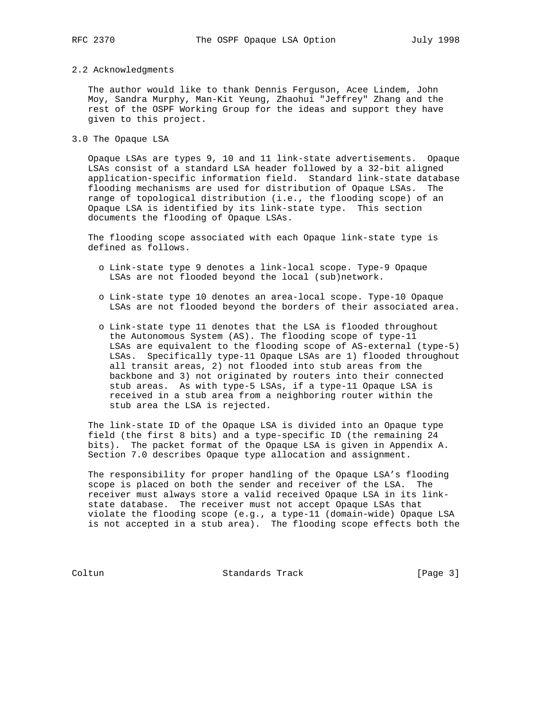#### 2.2 Acknowledgments

 The author would like to thank Dennis Ferguson, Acee Lindem, John Moy, Sandra Murphy, Man-Kit Yeung, Zhaohui "Jeffrey" Zhang and the rest of the OSPF Working Group for the ideas and support they have given to this project.

3.0 The Opaque LSA

 Opaque LSAs are types 9, 10 and 11 link-state advertisements. Opaque LSAs consist of a standard LSA header followed by a 32-bit aligned application-specific information field. Standard link-state database flooding mechanisms are used for distribution of Opaque LSAs. The range of topological distribution (i.e., the flooding scope) of an Opaque LSA is identified by its link-state type. This section documents the flooding of Opaque LSAs.

 The flooding scope associated with each Opaque link-state type is defined as follows.

- o Link-state type 9 denotes a link-local scope. Type-9 Opaque LSAs are not flooded beyond the local (sub)network.
- o Link-state type 10 denotes an area-local scope. Type-10 Opaque LSAs are not flooded beyond the borders of their associated area.
- o Link-state type 11 denotes that the LSA is flooded throughout the Autonomous System (AS). The flooding scope of type-11 LSAs are equivalent to the flooding scope of AS-external (type-5) LSAs. Specifically type-11 Opaque LSAs are 1) flooded throughout all transit areas, 2) not flooded into stub areas from the backbone and 3) not originated by routers into their connected stub areas. As with type-5 LSAs, if a type-11 Opaque LSA is received in a stub area from a neighboring router within the stub area the LSA is rejected.

 The link-state ID of the Opaque LSA is divided into an Opaque type field (the first 8 bits) and a type-specific ID (the remaining 24 bits). The packet format of the Opaque LSA is given in Appendix A. Section 7.0 describes Opaque type allocation and assignment.

 The responsibility for proper handling of the Opaque LSA's flooding scope is placed on both the sender and receiver of the LSA. The receiver must always store a valid received Opaque LSA in its link state database. The receiver must not accept Opaque LSAs that violate the flooding scope (e.g., a type-11 (domain-wide) Opaque LSA is not accepted in a stub area). The flooding scope effects both the

Coltun Standards Track [Page 3]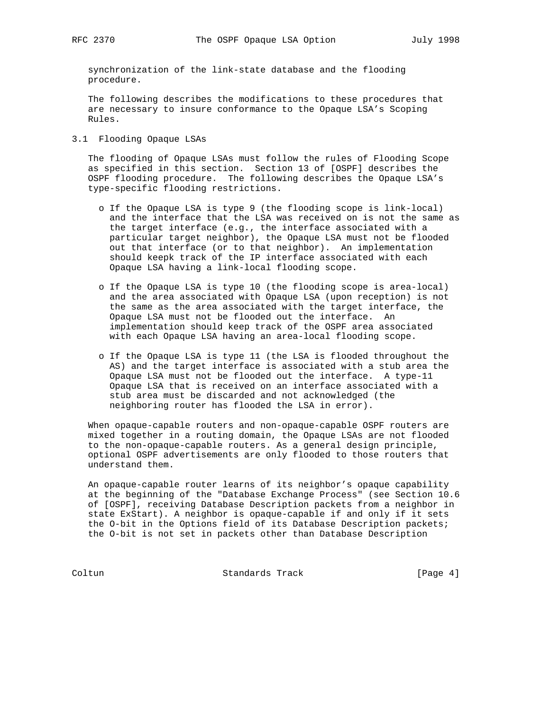synchronization of the link-state database and the flooding procedure.

 The following describes the modifications to these procedures that are necessary to insure conformance to the Opaque LSA's Scoping Rules.

3.1 Flooding Opaque LSAs

 The flooding of Opaque LSAs must follow the rules of Flooding Scope as specified in this section. Section 13 of [OSPF] describes the OSPF flooding procedure. The following describes the Opaque LSA's type-specific flooding restrictions.

- o If the Opaque LSA is type 9 (the flooding scope is link-local) and the interface that the LSA was received on is not the same as the target interface (e.g., the interface associated with a particular target neighbor), the Opaque LSA must not be flooded out that interface (or to that neighbor). An implementation should keepk track of the IP interface associated with each Opaque LSA having a link-local flooding scope.
- o If the Opaque LSA is type 10 (the flooding scope is area-local) and the area associated with Opaque LSA (upon reception) is not the same as the area associated with the target interface, the Opaque LSA must not be flooded out the interface. An implementation should keep track of the OSPF area associated with each Opaque LSA having an area-local flooding scope.
- o If the Opaque LSA is type 11 (the LSA is flooded throughout the AS) and the target interface is associated with a stub area the Opaque LSA must not be flooded out the interface. A type-11 Opaque LSA that is received on an interface associated with a stub area must be discarded and not acknowledged (the neighboring router has flooded the LSA in error).

 When opaque-capable routers and non-opaque-capable OSPF routers are mixed together in a routing domain, the Opaque LSAs are not flooded to the non-opaque-capable routers. As a general design principle, optional OSPF advertisements are only flooded to those routers that understand them.

 An opaque-capable router learns of its neighbor's opaque capability at the beginning of the "Database Exchange Process" (see Section 10.6 of [OSPF], receiving Database Description packets from a neighbor in state ExStart). A neighbor is opaque-capable if and only if it sets the O-bit in the Options field of its Database Description packets; the O-bit is not set in packets other than Database Description

Coltun Standards Track [Page 4]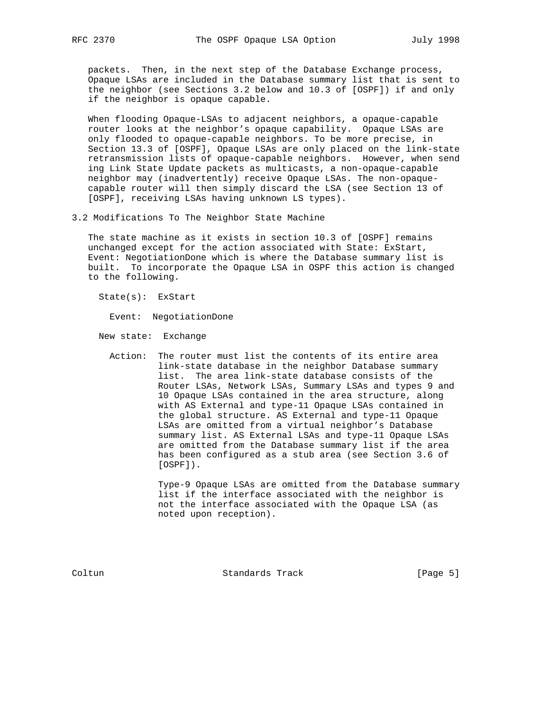packets. Then, in the next step of the Database Exchange process, Opaque LSAs are included in the Database summary list that is sent to the neighbor (see Sections 3.2 below and 10.3 of [OSPF]) if and only if the neighbor is opaque capable.

 When flooding Opaque-LSAs to adjacent neighbors, a opaque-capable router looks at the neighbor's opaque capability. Opaque LSAs are only flooded to opaque-capable neighbors. To be more precise, in Section 13.3 of [OSPF], Opaque LSAs are only placed on the link-state retransmission lists of opaque-capable neighbors. However, when send ing Link State Update packets as multicasts, a non-opaque-capable neighbor may (inadvertently) receive Opaque LSAs. The non-opaque capable router will then simply discard the LSA (see Section 13 of [OSPF], receiving LSAs having unknown LS types).

3.2 Modifications To The Neighbor State Machine

 The state machine as it exists in section 10.3 of [OSPF] remains unchanged except for the action associated with State: ExStart, Event: NegotiationDone which is where the Database summary list is built. To incorporate the Opaque LSA in OSPF this action is changed to the following.

State(s): ExStart

Event: NegotiationDone

New state: Exchange

 Action: The router must list the contents of its entire area link-state database in the neighbor Database summary list. The area link-state database consists of the Router LSAs, Network LSAs, Summary LSAs and types 9 and 10 Opaque LSAs contained in the area structure, along with AS External and type-11 Opaque LSAs contained in the global structure. AS External and type-11 Opaque LSAs are omitted from a virtual neighbor's Database summary list. AS External LSAs and type-11 Opaque LSAs are omitted from the Database summary list if the area has been configured as a stub area (see Section 3.6 of [OSPF]).

> Type-9 Opaque LSAs are omitted from the Database summary list if the interface associated with the neighbor is not the interface associated with the Opaque LSA (as noted upon reception).

Coltun **Standards Track** [Page 5]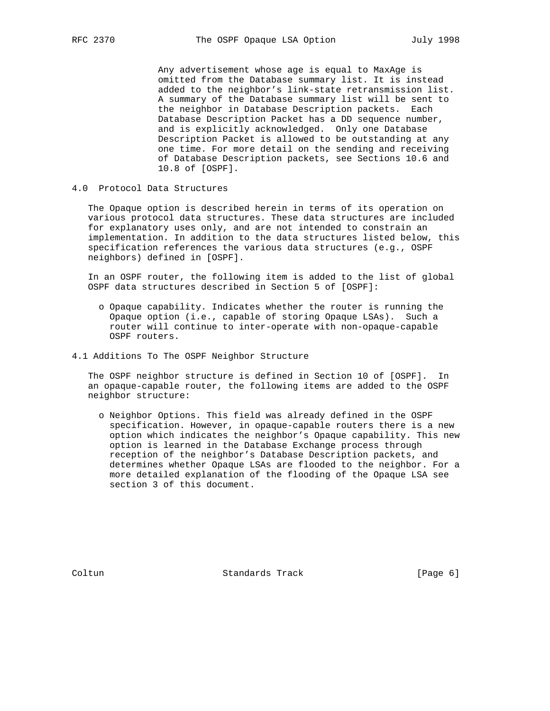Any advertisement whose age is equal to MaxAge is omitted from the Database summary list. It is instead added to the neighbor's link-state retransmission list. A summary of the Database summary list will be sent to the neighbor in Database Description packets. Each Database Description Packet has a DD sequence number, and is explicitly acknowledged. Only one Database Description Packet is allowed to be outstanding at any one time. For more detail on the sending and receiving of Database Description packets, see Sections 10.6 and 10.8 of [OSPF].

# 4.0 Protocol Data Structures

 The Opaque option is described herein in terms of its operation on various protocol data structures. These data structures are included for explanatory uses only, and are not intended to constrain an implementation. In addition to the data structures listed below, this specification references the various data structures (e.g., OSPF neighbors) defined in [OSPF].

 In an OSPF router, the following item is added to the list of global OSPF data structures described in Section 5 of [OSPF]:

- o Opaque capability. Indicates whether the router is running the Opaque option (i.e., capable of storing Opaque LSAs). Such a router will continue to inter-operate with non-opaque-capable OSPF routers.
- 4.1 Additions To The OSPF Neighbor Structure

 The OSPF neighbor structure is defined in Section 10 of [OSPF]. In an opaque-capable router, the following items are added to the OSPF neighbor structure:

 o Neighbor Options. This field was already defined in the OSPF specification. However, in opaque-capable routers there is a new option which indicates the neighbor's Opaque capability. This new option is learned in the Database Exchange process through reception of the neighbor's Database Description packets, and determines whether Opaque LSAs are flooded to the neighbor. For a more detailed explanation of the flooding of the Opaque LSA see section 3 of this document.

Coltun **Standards Track** [Page 6]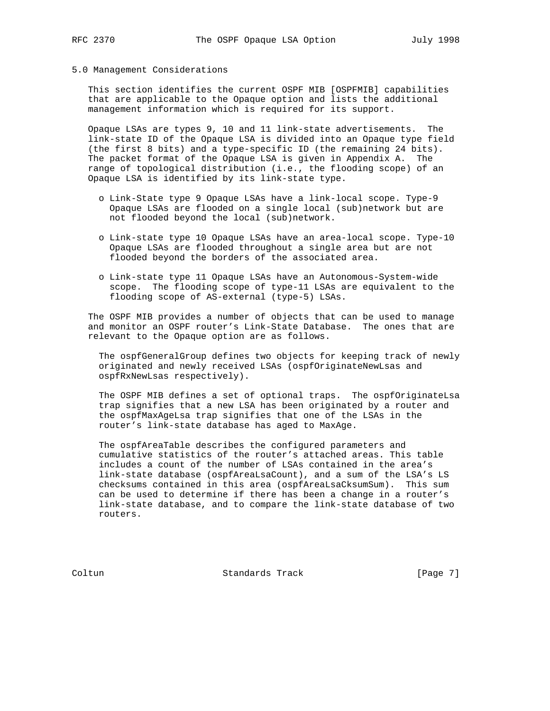#### 5.0 Management Considerations

 This section identifies the current OSPF MIB [OSPFMIB] capabilities that are applicable to the Opaque option and lists the additional management information which is required for its support.

 Opaque LSAs are types 9, 10 and 11 link-state advertisements. The link-state ID of the Opaque LSA is divided into an Opaque type field (the first 8 bits) and a type-specific ID (the remaining 24 bits). The packet format of the Opaque LSA is given in Appendix A. The range of topological distribution (i.e., the flooding scope) of an Opaque LSA is identified by its link-state type.

- o Link-State type 9 Opaque LSAs have a link-local scope. Type-9 Opaque LSAs are flooded on a single local (sub)network but are not flooded beyond the local (sub)network.
- o Link-state type 10 Opaque LSAs have an area-local scope. Type-10 Opaque LSAs are flooded throughout a single area but are not flooded beyond the borders of the associated area.
- o Link-state type 11 Opaque LSAs have an Autonomous-System-wide scope. The flooding scope of type-11 LSAs are equivalent to the flooding scope of AS-external (type-5) LSAs.

 The OSPF MIB provides a number of objects that can be used to manage and monitor an OSPF router's Link-State Database. The ones that are relevant to the Opaque option are as follows.

 The ospfGeneralGroup defines two objects for keeping track of newly originated and newly received LSAs (ospfOriginateNewLsas and ospfRxNewLsas respectively).

The OSPF MIB defines a set of optional traps. The ospfOriginateLsa trap signifies that a new LSA has been originated by a router and the ospfMaxAgeLsa trap signifies that one of the LSAs in the router's link-state database has aged to MaxAge.

 The ospfAreaTable describes the configured parameters and cumulative statistics of the router's attached areas. This table includes a count of the number of LSAs contained in the area's link-state database (ospfAreaLsaCount), and a sum of the LSA's LS checksums contained in this area (ospfAreaLsaCksumSum). This sum can be used to determine if there has been a change in a router's link-state database, and to compare the link-state database of two routers.

Coltun **Standards Track** [Page 7]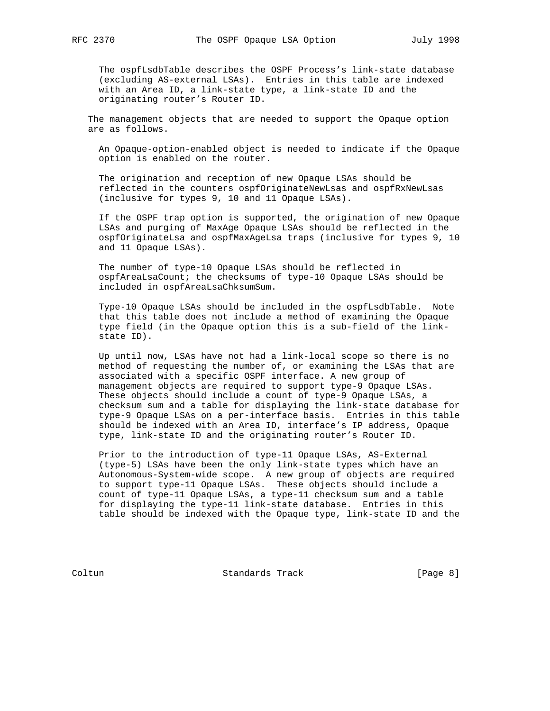The ospfLsdbTable describes the OSPF Process's link-state database (excluding AS-external LSAs). Entries in this table are indexed with an Area ID, a link-state type, a link-state ID and the originating router's Router ID.

 The management objects that are needed to support the Opaque option are as follows.

 An Opaque-option-enabled object is needed to indicate if the Opaque option is enabled on the router.

 The origination and reception of new Opaque LSAs should be reflected in the counters ospfOriginateNewLsas and ospfRxNewLsas (inclusive for types 9, 10 and 11 Opaque LSAs).

 If the OSPF trap option is supported, the origination of new Opaque LSAs and purging of MaxAge Opaque LSAs should be reflected in the ospfOriginateLsa and ospfMaxAgeLsa traps (inclusive for types 9, 10 and 11 Opaque LSAs).

 The number of type-10 Opaque LSAs should be reflected in ospfAreaLsaCount; the checksums of type-10 Opaque LSAs should be included in ospfAreaLsaChksumSum.

 Type-10 Opaque LSAs should be included in the ospfLsdbTable. Note that this table does not include a method of examining the Opaque type field (in the Opaque option this is a sub-field of the link state ID).

 Up until now, LSAs have not had a link-local scope so there is no method of requesting the number of, or examining the LSAs that are associated with a specific OSPF interface. A new group of management objects are required to support type-9 Opaque LSAs. These objects should include a count of type-9 Opaque LSAs, a checksum sum and a table for displaying the link-state database for type-9 Opaque LSAs on a per-interface basis. Entries in this table should be indexed with an Area ID, interface's IP address, Opaque type, link-state ID and the originating router's Router ID.

 Prior to the introduction of type-11 Opaque LSAs, AS-External (type-5) LSAs have been the only link-state types which have an Autonomous-System-wide scope. A new group of objects are required to support type-11 Opaque LSAs. These objects should include a count of type-11 Opaque LSAs, a type-11 checksum sum and a table for displaying the type-11 link-state database. Entries in this table should be indexed with the Opaque type, link-state ID and the

Coltun Coltun Standards Track [Page 8]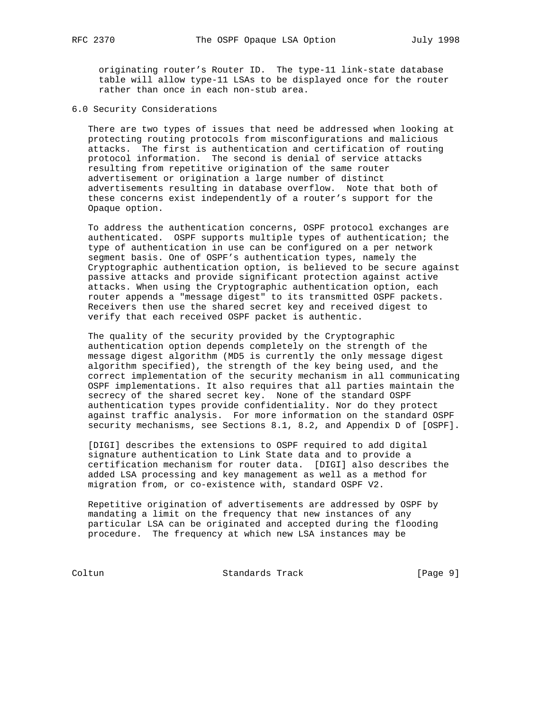originating router's Router ID. The type-11 link-state database table will allow type-11 LSAs to be displayed once for the router rather than once in each non-stub area.

6.0 Security Considerations

 There are two types of issues that need be addressed when looking at protecting routing protocols from misconfigurations and malicious attacks. The first is authentication and certification of routing protocol information. The second is denial of service attacks resulting from repetitive origination of the same router advertisement or origination a large number of distinct advertisements resulting in database overflow. Note that both of these concerns exist independently of a router's support for the Opaque option.

 To address the authentication concerns, OSPF protocol exchanges are authenticated. OSPF supports multiple types of authentication; the type of authentication in use can be configured on a per network segment basis. One of OSPF's authentication types, namely the Cryptographic authentication option, is believed to be secure against passive attacks and provide significant protection against active attacks. When using the Cryptographic authentication option, each router appends a "message digest" to its transmitted OSPF packets. Receivers then use the shared secret key and received digest to verify that each received OSPF packet is authentic.

 The quality of the security provided by the Cryptographic authentication option depends completely on the strength of the message digest algorithm (MD5 is currently the only message digest algorithm specified), the strength of the key being used, and the correct implementation of the security mechanism in all communicating OSPF implementations. It also requires that all parties maintain the secrecy of the shared secret key. None of the standard OSPF authentication types provide confidentiality. Nor do they protect against traffic analysis. For more information on the standard OSPF security mechanisms, see Sections 8.1, 8.2, and Appendix D of [OSPF].

 [DIGI] describes the extensions to OSPF required to add digital signature authentication to Link State data and to provide a certification mechanism for router data. [DIGI] also describes the added LSA processing and key management as well as a method for migration from, or co-existence with, standard OSPF V2.

 Repetitive origination of advertisements are addressed by OSPF by mandating a limit on the frequency that new instances of any particular LSA can be originated and accepted during the flooding procedure. The frequency at which new LSA instances may be

Coltun Standards Track [Page 9]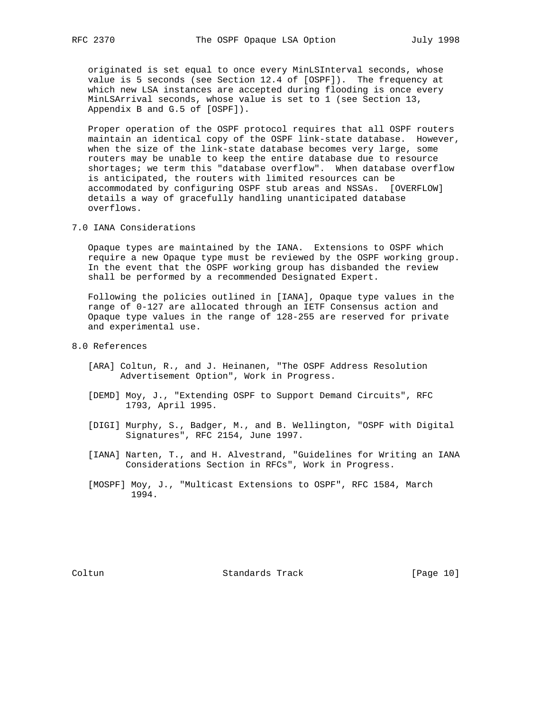originated is set equal to once every MinLSInterval seconds, whose value is 5 seconds (see Section 12.4 of [OSPF]). The frequency at which new LSA instances are accepted during flooding is once every MinLSArrival seconds, whose value is set to 1 (see Section 13, Appendix B and G.5 of [OSPF]).

 Proper operation of the OSPF protocol requires that all OSPF routers maintain an identical copy of the OSPF link-state database. However, when the size of the link-state database becomes very large, some routers may be unable to keep the entire database due to resource shortages; we term this "database overflow". When database overflow is anticipated, the routers with limited resources can be accommodated by configuring OSPF stub areas and NSSAs. [OVERFLOW] details a way of gracefully handling unanticipated database overflows.

7.0 IANA Considerations

 Opaque types are maintained by the IANA. Extensions to OSPF which require a new Opaque type must be reviewed by the OSPF working group. In the event that the OSPF working group has disbanded the review shall be performed by a recommended Designated Expert.

 Following the policies outlined in [IANA], Opaque type values in the range of 0-127 are allocated through an IETF Consensus action and Opaque type values in the range of 128-255 are reserved for private and experimental use.

- 8.0 References
	- [ARA] Coltun, R., and J. Heinanen, "The OSPF Address Resolution Advertisement Option", Work in Progress.
	- [DEMD] Moy, J., "Extending OSPF to Support Demand Circuits", RFC 1793, April 1995.
	- [DIGI] Murphy, S., Badger, M., and B. Wellington, "OSPF with Digital Signatures", RFC 2154, June 1997.
	- [IANA] Narten, T., and H. Alvestrand, "Guidelines for Writing an IANA Considerations Section in RFCs", Work in Progress.
	- [MOSPF] Moy, J., "Multicast Extensions to OSPF", RFC 1584, March 1994.

Coltun Standards Track [Page 10]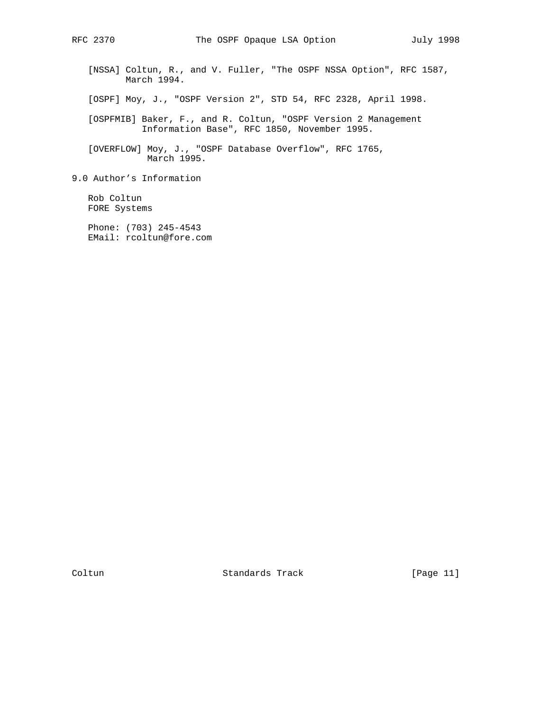[NSSA] Coltun, R., and V. Fuller, "The OSPF NSSA Option", RFC 1587, March 1994.

[OSPF] Moy, J., "OSPF Version 2", STD 54, RFC 2328, April 1998.

 [OSPFMIB] Baker, F., and R. Coltun, "OSPF Version 2 Management Information Base", RFC 1850, November 1995.

 [OVERFLOW] Moy, J., "OSPF Database Overflow", RFC 1765, March 1995.

9.0 Author's Information

 Rob Coltun FORE Systems

 Phone: (703) 245-4543 EMail: rcoltun@fore.com

Coltun Standards Track [Page 11]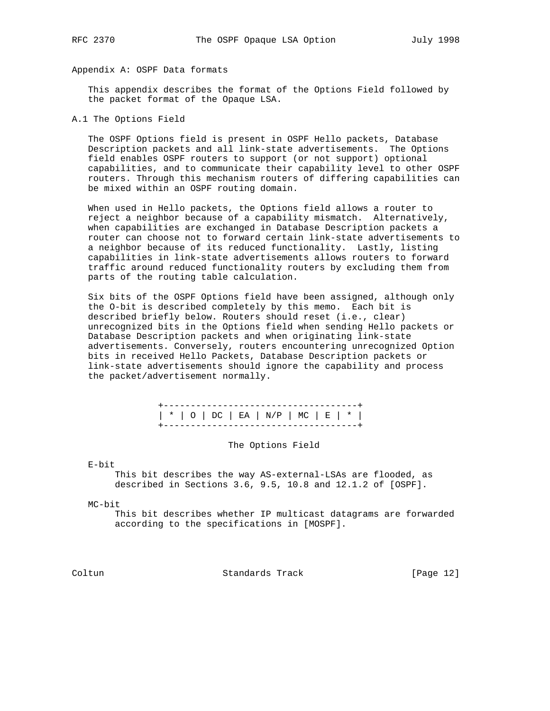# Appendix A: OSPF Data formats

 This appendix describes the format of the Options Field followed by the packet format of the Opaque LSA.

# A.1 The Options Field

 The OSPF Options field is present in OSPF Hello packets, Database Description packets and all link-state advertisements. The Options field enables OSPF routers to support (or not support) optional capabilities, and to communicate their capability level to other OSPF routers. Through this mechanism routers of differing capabilities can be mixed within an OSPF routing domain.

 When used in Hello packets, the Options field allows a router to reject a neighbor because of a capability mismatch. Alternatively, when capabilities are exchanged in Database Description packets a router can choose not to forward certain link-state advertisements to a neighbor because of its reduced functionality. Lastly, listing capabilities in link-state advertisements allows routers to forward traffic around reduced functionality routers by excluding them from parts of the routing table calculation.

 Six bits of the OSPF Options field have been assigned, although only the O-bit is described completely by this memo. Each bit is described briefly below. Routers should reset (i.e., clear) unrecognized bits in the Options field when sending Hello packets or Database Description packets and when originating link-state advertisements. Conversely, routers encountering unrecognized Option bits in received Hello Packets, Database Description packets or link-state advertisements should ignore the capability and process the packet/advertisement normally.

|  | $\vert * \vert$ O $\vert$ DC $\vert$ EA $\vert$ N/P $\vert$ MC $\vert$ E $\vert * \vert$ |  |
|--|------------------------------------------------------------------------------------------|--|
|  |                                                                                          |  |

The Options Field

E-bit

 This bit describes the way AS-external-LSAs are flooded, as described in Sections 3.6, 9.5, 10.8 and 12.1.2 of [OSPF].

MC-bit

 This bit describes whether IP multicast datagrams are forwarded according to the specifications in [MOSPF].

Coltun Standards Track [Page 12]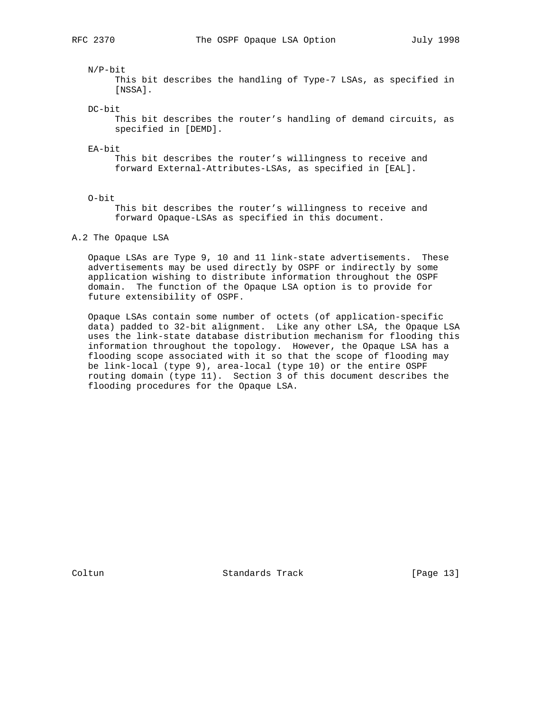#### N/P-bit

 This bit describes the handling of Type-7 LSAs, as specified in [NSSA].

DC-bit

 This bit describes the router's handling of demand circuits, as specified in [DEMD].

EA-bit

 This bit describes the router's willingness to receive and forward External-Attributes-LSAs, as specified in [EAL].

O-bit

 This bit describes the router's willingness to receive and forward Opaque-LSAs as specified in this document.

#### A.2 The Opaque LSA

 Opaque LSAs are Type 9, 10 and 11 link-state advertisements. These advertisements may be used directly by OSPF or indirectly by some application wishing to distribute information throughout the OSPF domain. The function of the Opaque LSA option is to provide for future extensibility of OSPF.

 Opaque LSAs contain some number of octets (of application-specific data) padded to 32-bit alignment. Like any other LSA, the Opaque LSA uses the link-state database distribution mechanism for flooding this information throughout the topology. However, the Opaque LSA has a flooding scope associated with it so that the scope of flooding may be link-local (type 9), area-local (type 10) or the entire OSPF routing domain (type 11). Section 3 of this document describes the flooding procedures for the Opaque LSA.

Coltun Standards Track [Page 13]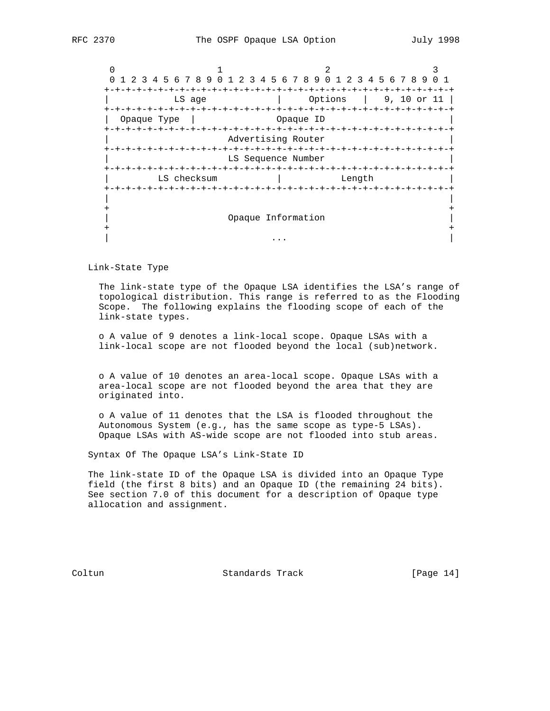0  $1$  2 3 0 1 2 3 4 5 6 7 8 9 0 1 2 3 4 5 6 7 8 9 0 1 2 3 4 5 6 7 8 9 0 1 +-+-+-+-+-+-+-+-+-+-+-+-+-+-+-+-+-+-+-+-+-+-+-+-+-+-+-+-+-+-+-+-+ | LS age | Options | 9, 10 or 11 | +-+-+-+-+-+-+-+-+-+-+-+-+-+-+-+-+-+-+-+-+-+-+-+-+-+-+-+-+-+-+-+-+ | Opaque Type | Opaque ID | +-+-+-+-+-+-+-+-+-+-+-+-+-+-+-+-+-+-+-+-+-+-+-+-+-+-+-+-+-+-+-+-+ Advertising Router +-+-+-+-+-+-+-+-+-+-+-+-+-+-+-+-+-+-+-+-+-+-+-+-+-+-+-+-+-+-+-+-+ LS Sequence Number +-+-+-+-+-+-+-+-+-+-+-+-+-+-+-+-+-+-+-+-+-+-+-+-+-+-+-+-+-+-+-+-+ | LS checksum | Length | +-+-+-+-+-+-+-+-+-+-+-+-+-+-+-+-+-+-+-+-+-+-+-+-+-+-+-+-+-+-+-+-+ | | + + | Opaque Information | + + | ... | ... | ... | ... | ... | ... | ... | ... | ... | ... | ... | ... | ... | ... | ... | ... | ... | ... | 1

Link-State Type

 The link-state type of the Opaque LSA identifies the LSA's range of topological distribution. This range is referred to as the Flooding Scope. The following explains the flooding scope of each of the link-state types.

 o A value of 9 denotes a link-local scope. Opaque LSAs with a link-local scope are not flooded beyond the local (sub)network.

 o A value of 10 denotes an area-local scope. Opaque LSAs with a area-local scope are not flooded beyond the area that they are originated into.

 o A value of 11 denotes that the LSA is flooded throughout the Autonomous System (e.g., has the same scope as type-5 LSAs). Opaque LSAs with AS-wide scope are not flooded into stub areas.

Syntax Of The Opaque LSA's Link-State ID

 The link-state ID of the Opaque LSA is divided into an Opaque Type field (the first 8 bits) and an Opaque ID (the remaining 24 bits). See section 7.0 of this document for a description of Opaque type allocation and assignment.

Coltun Standards Track [Page 14]